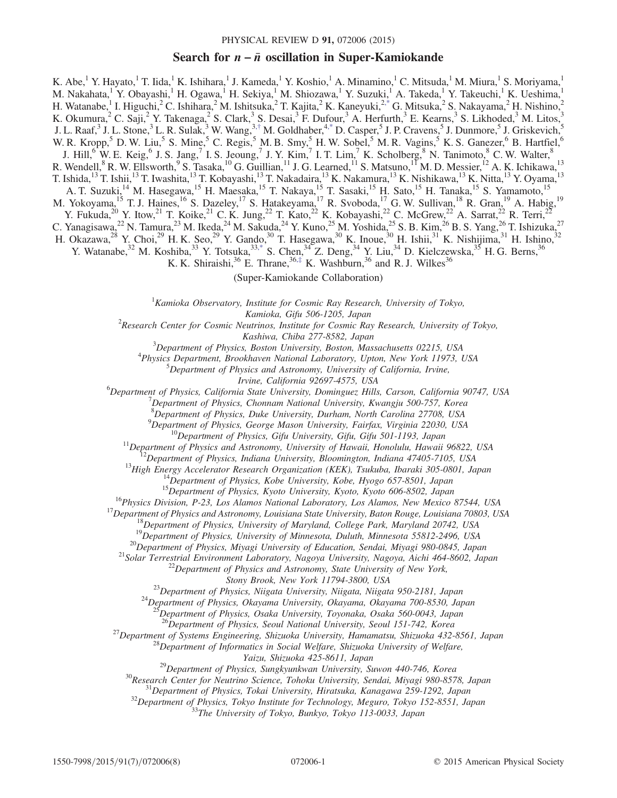# Search for  $n - \bar{n}$  oscillation in Super-Kamiokande

<span id="page-0-1"></span>K. Abe,<sup>1</sup> Y. Hayato,<sup>1</sup> T. Iida,<sup>1</sup> K. Ishihara,<sup>1</sup> J. Kameda,<sup>1</sup> Y. Koshio,<sup>1</sup> A. Minamino,<sup>1</sup> C. Mitsuda,<sup>1</sup> M. Miura,<sup>1</sup> S. Moriyama,<sup>1</sup> M. Nakahata,<sup>1</sup> Y. Obayashi,<sup>1</sup> H. Ogawa,<sup>1</sup> H. Sekiya,<sup>1</sup> M. Shiozawa,<sup>1</sup> Y. Suzuki,<sup>1</sup> A. Takeda,<sup>1</sup> Y. Takeuchi,<sup>1</sup> K. Ueshima,<sup>1</sup> H. Watanabe, I. Higuchi, <sup>2</sup> C. Ishihara, 2 M. Ishitsuka, 2 T. Kajita, 2 K. Kaneyuki, <sup>2[,\\*](#page-1-0)</sup> G. Mitsuka, 2 S. Nakayama, 2 H. Nishino, 2 K. Okumura, <sup>2</sup> C. Saji, <sup>2</sup> Y. Takenaga, <sup>2</sup> S. Clark, <sup>3</sup> S. Desai, <sup>3</sup> F. Dufour, <sup>3</sup> A. Herfurth, <sup>3</sup> E. Kearns, <sup>3</sup> S. Likhoded, <sup>3</sup> M. Litos, J. L. Raaf,<sup>3</sup> J. L. Stone,<sup>3</sup> L. R. Sulak,<sup>3</sup> W. Wang,<sup>3,[†](#page-1-1)</sup> M. Goldhaber,<sup>[4,\\*](#page-1-0)</sup> D. Casper,<sup>5</sup> J. P. Cravens,<sup>5</sup> J. Dunmore,<sup>5</sup> J. Griskevich,<sup>5</sup> W. R. Kropp,<sup>5</sup> D. W. Liu,<sup>5</sup> S. Mine,<sup>5</sup> C. Regis,<sup>5</sup> M. B. Smy,<sup>5</sup> H. W. Sobel,<sup>5</sup> M. R. Vagins,<sup>5</sup> K. S. Ganezer,<sup>6</sup> B. Hartfiel,<sup>6</sup> J. Hill,<sup>6</sup> W. E. Keig,<sup>6</sup> J. S. Jang,<sup>7</sup> I. S. Jeoung,<sup>7</sup> J. Y. Kim,<sup>7</sup> I. T. Lim,<sup>7</sup> K. Scholberg,<sup>8</sup> N. Tanimoto,<sup>8</sup> C. W. Walter,<sup>8</sup> R. Wendell,  ${}^{8}$  R. W. Ellsworth,  ${}^{9}$  S. Tasaka,  ${}^{10}$  G. Guillian,  ${}^{11}$  J. G. Learned,  ${}^{11}$  S. Matsuno,  ${}^{17}$  M. D. Messier,  ${}^{12}$  A. K. Ichikawa,  ${}^{13}$ T. Ishida,<sup>13</sup> T. Ishii,<sup>13</sup> T. Iwashita,<sup>13</sup> T. Kobayashi,<sup>13</sup> T. Nakadaira,<sup>13</sup> K. Nakamura,<sup>13</sup> K. Nishikawa,<sup>13</sup> K. Nitta,<sup>13</sup> Y. Oyama,<sup>13</sup> A. T. Suzuki,<sup>14</sup> M. Hasegawa,<sup>15</sup> H. Maesaka,<sup>15</sup> T. Nakaya,<sup>15</sup> T. Sasaki,<sup>15</sup> H. Sato,<sup>15</sup> H. Tanaka,<sup>15</sup> S. Yamamoto,<sup>15</sup> M. Yokoyama, <sup>15</sup> T. J. Haines, <sup>16</sup> S. Dazeley, <sup>17</sup> S. Hatakeyama, <sup>17</sup> R. Svoboda, <sup>17</sup> G. W. Sullivan, <sup>18</sup> R. Gran, <sup>19</sup> A. Habig, <sup>19</sup> Y. Fukuda,<sup>20</sup> Y. Itow,<sup>21</sup> T. Koike,<sup>21</sup> C. K. Jung,<sup>22</sup> T. Kato,<sup>22</sup> K. Kobayashi,<sup>22</sup> C. McGrew,<sup>22</sup> A. Sarrat,<sup>22</sup> R. Terri,<sup>22</sup> C. Yanagisawa,<sup>22</sup> N. Tamura,<sup>23</sup> M. Ikeda,<sup>24</sup> M. Sakuda,<sup>24</sup> Y. Kuno,<sup>25</sup> M. Yoshida,<sup>25</sup> S. B. Kim,<sup>26</sup> B. S. Yang,<sup>26</sup> T. Ishizuka,<sup>27</sup> H. Okazawa,<sup>28</sup> Y. Choi,<sup>29</sup> H. K. Seo,<sup>29</sup> Y. Gando,<sup>30</sup> T. Hasegawa,<sup>30</sup> K. Inoue,<sup>30</sup> H. Ishii,<sup>31</sup> K. Nishijima,<sup>31</sup> H. Ishino,<sup>32</sup> Y. Watanabe,<sup>32</sup> M. Koshiba,<sup>33</sup> Y. Totsuka,<sup>33[,\\*](#page-1-0)</sup> S. Chen,<sup>34</sup> Z. Deng,<sup>34</sup> Y. Liu,<sup>34</sup> D. Kielczewska,<sup>35</sup> H. G. Berns,<sup>36</sup> K. K. Shiraishi,<sup>36</sup> E. Thrane,<sup>36,[‡](#page-1-2)</sup> K. Washburn,<sup>36</sup> and R. J. Wilkes<sup>36</sup>

(Super-Kamiokande Collaboration)

 ${}^{1}$ Kamioka Observatory, Institute for Cosmic Ray Research, University of Tokyo,

<span id="page-0-2"></span><span id="page-0-0"></span>Kamioka, Gifu 506-1205, Japan<br><sup>2</sup>Research Center for Cosmic Neutrinos, Institute for Cosmic Ray Research, University of Tokyo,

Kashiwa, Chiba 277-8582, Japan<br><sup>3</sup>Department of Physics, Boston University, Boston Mas

 $^{3}$ Department of Physics, Boston University, Boston, Massachusetts 02215, USA  $^{4}$ Physics Department, Brookhayan National Laboratory, Unton Nav York 11073, 1 <sup>4</sup>Physics Department, Brookhaven National Laboratory, Upton, New York 11973, USA

 ${}^{5}$ Department of Physics and Astronomy, University of California, Irvine,

Irvine, California 92697-4575, USA<br><sup>6</sup>Department of Physics, California State University, Dominauga Hills Department of Physics, California State University, Dominguez Hills, Carson, California 90747, USA<br><sup>7</sup> Department of Physics, Channam National University, Kuanaju 500.757, Kanaa

 $^{7}$ Department of Physics, Chonnam National University, Kwangju 500-757, Korea

<sup>8</sup>Department of Physics, Duke University, Durham, North Carolina 27708, USA

<sup>9</sup>Department of Physics, George Mason University, Fairfax, Virginia 22030, USA

*<sup>19</sup>Department of Physics, George Mason University, Fairfax, Virginia 22030, USA*<br><sup>10</sup>*Department of Physics, Gifu University, Gifu, Gifu 501-1193, Japan*<br><sup>11</sup>*Department of Physics and Astronomy, University of Hawaii, H* 

Stony Brook, New York 11794-3800, USA<br><sup>23</sup>Department of Physics, Niigata University, Niigata, Niigata 950-2181, Japan <sup>24</sup>Department of Physics, Okayama University, Okayama, Okayama 700-8530, Japan

 ${}^{5}$ Department of Physics, Osaka University, Toyonaka, Osaka 560-0043, Japan<br><sup>26</sup>Department of Physics, Seoul National University, Seoul 151-742, Korea

<sup>27</sup>Department of Systems Engineering, Shizuoka University, Hamamatsu, Shizuoka 432-8561, Japan<br><sup>28</sup>Department of Informatics in Social Welfare, Shizuoka University of Welfare,

<sup>29</sup>Department of Physics, Sungkyunkwan University, Suwon 440-746, Korea<br><sup>30</sup>Research Center for Neutrino Science, Tohoku University, Suwon 440-746, Korea<br><sup>31</sup>Department of Physics, Tokai University, Hiratsuka, Kanagawa 25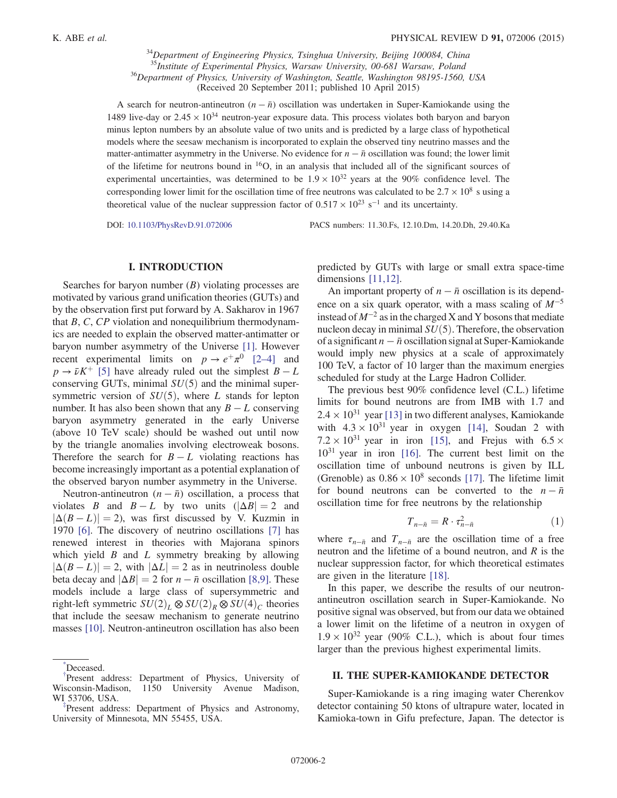$34$ Department of Engineering Physics, Tsinghua University, Beijing 100084, China<br> $35$ Institute of Experimental Physics, Warsaw University, 00-681 Warsaw, Poland <sup>36</sup>Department of Physics, University of Washington, Seattle, Washington 98195-1560, USA (Received 20 September 2011; published 10 April 2015)

A search for neutron-antineutron  $(n - \bar{n})$  oscillation was undertaken in Super-Kamiokande using the 1489 live-day or  $2.45 \times 10^{34}$  neutron-year exposure data. This process violates both baryon and baryon minus lepton numbers by an absolute value of two units and is predicted by a large class of hypothetical models where the seesaw mechanism is incorporated to explain the observed tiny neutrino masses and the matter-antimatter asymmetry in the Universe. No evidence for  $n - \bar{n}$  oscillation was found; the lower limit of the lifetime for neutrons bound in <sup>16</sup>O, in an analysis that included all of the significant sources of experimental uncertainties, was determined to be  $1.9 \times 10^{32}$  years at the 90% confidence level. The corresponding lower limit for the oscillation time of free neutrons was calculated to be  $2.7 \times 10^8$  s using a theoretical value of the nuclear suppression factor of  $0.517 \times 10^{23}$  s<sup>-1</sup> and its uncertainty.

DOI: [10.1103/PhysRevD.91.072006](http://dx.doi.org/10.1103/PhysRevD.91.072006) PACS numbers: 11.30.Fs, 12.10.Dm, 14.20.Dh, 29.40.Ka

## I. INTRODUCTION

Searches for baryon number  $(B)$  violating processes are motivated by various grand unification theories (GUTs) and by the observation first put forward by A. Sakharov in 1967 that  $B, C, CP$  violation and nonequilibrium thermodynamics are needed to explain the observed matter-antimatter or baryon number asymmetry of the Universe [\[1\].](#page-6-0) However recent experimental limits on  $p \to e^+ \pi^0$  [\[2](#page-6-1)–4] and  $p \rightarrow \bar{\nu}K^+$  [\[5\]](#page-6-2) have already ruled out the simplest  $B - L$ conserving GUTs, minimal  $SU(5)$  and the minimal supersymmetric version of  $SU(5)$ , where L stands for lepton number. It has also been shown that any  $B - L$  conserving baryon asymmetry generated in the early Universe (above 10 TeV scale) should be washed out until now by the triangle anomalies involving electroweak bosons. Therefore the search for  $B - L$  violating reactions has become increasingly important as a potential explanation of the observed baryon number asymmetry in the Universe.

Neutron-antineutron  $(n - \bar{n})$  oscillation, a process that violates B and  $B - L$  by two units  $(|\Delta B| = 2$  and  $|\Delta(B - L)| = 2$ ), was first discussed by V. Kuzmin in 1970 [\[6\].](#page-6-3) The discovery of neutrino oscillations [\[7\]](#page-6-4) has renewed interest in theories with Majorana spinors which yield  $B$  and  $L$  symmetry breaking by allowing  $|\Delta(B - L)| = 2$ , with  $|\Delta L| = 2$  as in neutrinoless double beta decay and  $|\Delta B| = 2$  for  $n - \bar{n}$  oscillation [\[8,9\].](#page-6-5) These models include a large class of supersymmetric and right-left symmetric  $SU(2)_L \otimes SU(2)_R \otimes SU(4)_C$  theories that include the seesaw mechanism to generate neutrino masses [\[10\].](#page-6-6) Neutron-antineutron oscillation has also been

<span id="page-1-0"></span>[\\*](#page-0-0) Deceased.

predicted by GUTs with large or small extra space-time dimensions [\[11,12\]](#page-6-7).

An important property of  $n - \bar{n}$  oscillation is its dependence on a six quark operator, with a mass scaling of  $M^{-5}$ instead of  $M^{-2}$  as in the charged X and Y bosons that mediate nucleon decay in minimal  $SU(5)$ . Therefore, the observation of a significant  $n - \bar{n}$  oscillation signal at Super-Kamiokande would imply new physics at a scale of approximately 100 TeV, a factor of 10 larger than the maximum energies scheduled for study at the Large Hadron Collider.

The previous best 90% confidence level (C.L.) lifetime limits for bound neutrons are from IMB with 1.7 and  $2.4 \times 10^{31}$  year [\[13\]](#page-7-0) in two different analyses, Kamiokande with  $4.3 \times 10^{31}$  year in oxygen [\[14\],](#page-7-1) Soudan 2 with  $7.2 \times 10^{31}$  year in iron [\[15\],](#page-7-2) and Frejus with 6.5  $\times$  $10^{31}$  year in iron [\[16\].](#page-7-3) The current best limit on the oscillation time of unbound neutrons is given by ILL (Grenoble) as  $0.86 \times 10^8$  seconds [\[17\].](#page-7-4) The lifetime limit for bound neutrons can be converted to the  $n - \bar{n}$ oscillation time for free neutrons by the relationship

$$
T_{n-\bar{n}} = R \cdot \tau_{n-\bar{n}}^2 \tag{1}
$$

<span id="page-1-3"></span>where  $\tau_{n-\bar{n}}$  and  $T_{n-\bar{n}}$  are the oscillation time of a free neutron and the lifetime of a bound neutron, and  $R$  is the nuclear suppression factor, for which theoretical estimates are given in the literature [\[18\].](#page-7-5)

In this paper, we describe the results of our neutronantineutron oscillation search in Super-Kamiokande. No positive signal was observed, but from our data we obtained a lower limit on the lifetime of a neutron in oxygen of  $1.9 \times 10^{32}$  year (90% C.L.), which is about four times larger than the previous highest experimental limits.

### II. THE SUPER-KAMIOKANDE DETECTOR

Super-Kamiokande is a ring imaging water Cherenkov detector containing 50 ktons of ultrapure water, located in Kamioka-town in Gifu prefecture, Japan. The detector is

<span id="page-1-1"></span>[<sup>†</sup>](#page-0-1) Present address: Department of Physics, University of Wisconsin-Madison, 1150 University Avenue Madison, WI 53706, USA. [‡](#page-0-2)

<span id="page-1-2"></span>Present address: Department of Physics and Astronomy, University of Minnesota, MN 55455, USA.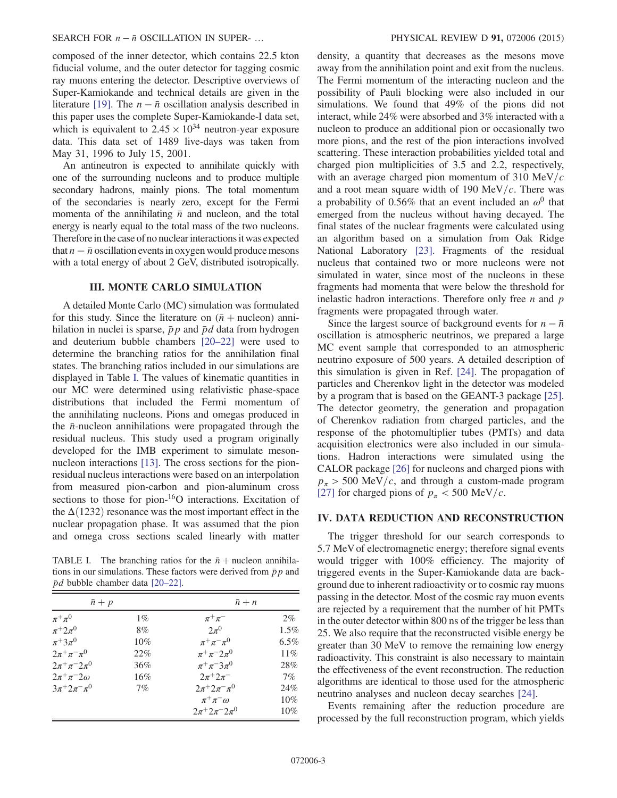composed of the inner detector, which contains 22.5 kton fiducial volume, and the outer detector for tagging cosmic ray muons entering the detector. Descriptive overviews of Super-Kamiokande and technical details are given in the literature [\[19\].](#page-7-6) The  $n - \bar{n}$  oscillation analysis described in this paper uses the complete Super-Kamiokande-I data set, which is equivalent to  $2.45 \times 10^{34}$  neutron-year exposure data. This data set of 1489 live-days was taken from May 31, 1996 to July 15, 2001.

An antineutron is expected to annihilate quickly with one of the surrounding nucleons and to produce multiple secondary hadrons, mainly pions. The total momentum of the secondaries is nearly zero, except for the Fermi momenta of the annihilating  $\bar{n}$  and nucleon, and the total energy is nearly equal to the total mass of the two nucleons. Therefore in the case of no nuclear interactions it was expected that  $n - \bar{n}$  oscillation events in oxygen would produce mesons with a total energy of about 2 GeV, distributed isotropically.

### III. MONTE CARLO SIMULATION

A detailed Monte Carlo (MC) simulation was formulated for this study. Since the literature on  $(\bar{n} +$  nucleon) annihilation in nuclei is sparse,  $\bar{p}p$  and  $\bar{p}d$  data from hydrogen and deuterium bubble chambers [20–[22\]](#page-7-7) were used to determine the branching ratios for the annihilation final states. The branching ratios included in our simulations are displayed in Table [I.](#page-2-0) The values of kinematic quantities in our MC were determined using relativistic phase-space distributions that included the Fermi momentum of the annihilating nucleons. Pions and omegas produced in the  $\bar{n}$ -nucleon annihilations were propagated through the residual nucleus. This study used a program originally developed for the IMB experiment to simulate meson-nucleon interactions [\[13\]](#page-7-0). The cross sections for the pionresidual nucleus interactions were based on an interpolation from measured pion-carbon and pion-aluminum cross sections to those for pion-<sup>16</sup>O interactions. Excitation of the  $\Delta(1232)$  resonance was the most important effect in the nuclear propagation phase. It was assumed that the pion and omega cross sections scaled linearly with matter

<span id="page-2-0"></span>TABLE I. The branching ratios for the  $\bar{n}$  + nucleon annihilations in our simulations. These factors were derived from  $\bar{p}p$  and  $\bar{p}d$  bubble chamber data [\[20](#page-7-7)–22].

| $\bar{n}+p$               |        | $\bar{n}+n$                       |         |
|---------------------------|--------|-----------------------------------|---------|
| $\pi^+\pi^0$              | $1\%$  | $\pi^+\pi^-$                      | $2\%$   |
| $\pi^+ 2\pi^0$            | 8%     | $2\pi^0$                          | $1.5\%$ |
| $\pi^+3\pi^0$             | $10\%$ | $\pi^{+}\pi^{-}\pi^{0}$           | $6.5\%$ |
| $2\pi^{+}\pi^{-}\pi^{0}$  | 22%    | $\pi^{+}\pi^{-}2\pi^{0}$          | 11%     |
| $2\pi^{+}\pi^{-}2\pi^{0}$ | 36%    | $\pi^{+}\pi^{-}3\pi^{0}$          | 28%     |
| $2\pi^+\pi^-2\omega$      | $16\%$ | $2\pi^{+}2\pi^{-}$                | 7%      |
| $3\pi + 2\pi = \pi^0$     | 7%     | $2\pi^+ 2\pi^- \pi^0$             | 24%     |
|                           |        | $\pi^+\pi^-\omega$                | 10%     |
|                           |        | $2\pi + 2\pi - 2\pi$ <sup>0</sup> | $10\%$  |

density, a quantity that decreases as the mesons move away from the annihilation point and exit from the nucleus. The Fermi momentum of the interacting nucleon and the possibility of Pauli blocking were also included in our simulations. We found that 49% of the pions did not interact, while 24% were absorbed and 3% interacted with a nucleon to produce an additional pion or occasionally two more pions, and the rest of the pion interactions involved scattering. These interaction probabilities yielded total and charged pion multiplicities of 3.5 and 2.2, respectively, with an average charged pion momentum of 310 MeV/ $c$ and a root mean square width of 190 MeV/ $c$ . There was a probability of 0.56% that an event included an  $\omega^0$  that emerged from the nucleus without having decayed. The final states of the nuclear fragments were calculated using an algorithm based on a simulation from Oak Ridge National Laboratory [\[23\]](#page-7-8). Fragments of the residual nucleus that contained two or more nucleons were not simulated in water, since most of the nucleons in these fragments had momenta that were below the threshold for inelastic hadron interactions. Therefore only free  $n$  and  $p$ fragments were propagated through water.

Since the largest source of background events for  $n - \bar{n}$ oscillation is atmospheric neutrinos, we prepared a large MC event sample that corresponded to an atmospheric neutrino exposure of 500 years. A detailed description of this simulation is given in Ref. [\[24\].](#page-7-9) The propagation of particles and Cherenkov light in the detector was modeled by a program that is based on the GEANT-3 package [\[25\]](#page-7-10). The detector geometry, the generation and propagation of Cherenkov radiation from charged particles, and the response of the photomultiplier tubes (PMTs) and data acquisition electronics were also included in our simulations. Hadron interactions were simulated using the CALOR package [\[26\]](#page-7-11) for nucleons and charged pions with  $p_\pi > 500$  MeV/c, and through a custom-made program [\[27\]](#page-7-12) for charged pions of  $p_{\pi}$  < 500 MeV/c.

#### IV. DATA REDUCTION AND RECONSTRUCTION

The trigger threshold for our search corresponds to 5.7 MeV of electromagnetic energy; therefore signal events would trigger with 100% efficiency. The majority of triggered events in the Super-Kamiokande data are background due to inherent radioactivity or to cosmic ray muons passing in the detector. Most of the cosmic ray muon events are rejected by a requirement that the number of hit PMTs in the outer detector within 800 ns of the trigger be less than 25. We also require that the reconstructed visible energy be greater than 30 MeV to remove the remaining low energy radioactivity. This constraint is also necessary to maintain the effectiveness of the event reconstruction. The reduction algorithms are identical to those used for the atmospheric neutrino analyses and nucleon decay searches [\[24\]](#page-7-9).

Events remaining after the reduction procedure are processed by the full reconstruction program, which yields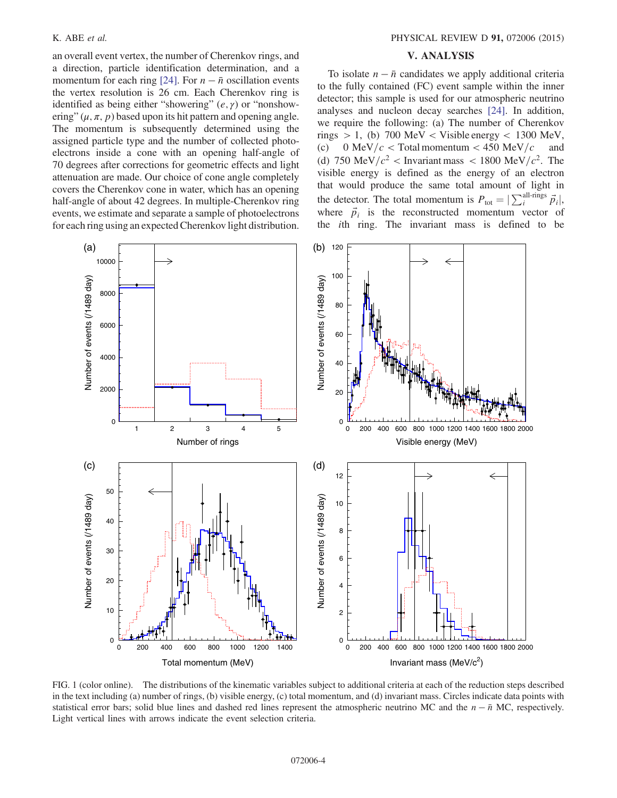an overall event vertex, the number of Cherenkov rings, and a direction, particle identification determination, and a momentum for each ring [\[24\].](#page-7-9) For  $n - \bar{n}$  oscillation events the vertex resolution is 26 cm. Each Cherenkov ring is identified as being either "showering"  $(e, \gamma)$  or "nonshowering"  $(\mu, \pi, p)$  based upon its hit pattern and opening angle. The momentum is subsequently determined using the assigned particle type and the number of collected photoelectrons inside a cone with an opening half-angle of 70 degrees after corrections for geometric effects and light attenuation are made. Our choice of cone angle completely covers the Cherenkov cone in water, which has an opening half-angle of about 42 degrees. In multiple-Cherenkov ring events, we estimate and separate a sample of photoelectrons for each ring using an expected Cherenkov light distribution.

#### V. ANALYSIS

To isolate  $n - \bar{n}$  candidates we apply additional criteria to the fully contained (FC) event sample within the inner detector; this sample is used for our atmospheric neutrino analyses and nucleon decay searches [\[24\]](#page-7-9). In addition, we require the following: (a) The number of Cherenkov rings  $> 1$ , (b) 700 MeV < Visible energy < 1300 MeV, (c) 0 MeV/ $c$  < Total momentum < 450 MeV/ $c$  and (d) 750 MeV/ $c^2$  < Invariant mass < 1800 MeV/ $c^2$ . The visible energy is defined as the energy of an electron that would produce the same total amount of light in the detector. The total momentum is  $P_{\text{tot}} = |\sum_{i}^{\text{all-rings}} \vec{p}_i|$ , where  $\vec{p}_i$  is the reconstructed momentum vector of the ith ring. The invariant mass is defined to be

<span id="page-3-0"></span>

FIG. 1 (color online). The distributions of the kinematic variables subject to additional criteria at each of the reduction steps described in the text including (a) number of rings, (b) visible energy, (c) total momentum, and (d) invariant mass. Circles indicate data points with statistical error bars; solid blue lines and dashed red lines represent the atmospheric neutrino MC and the  $n - \bar{n}$  MC, respectively. Light vertical lines with arrows indicate the event selection criteria.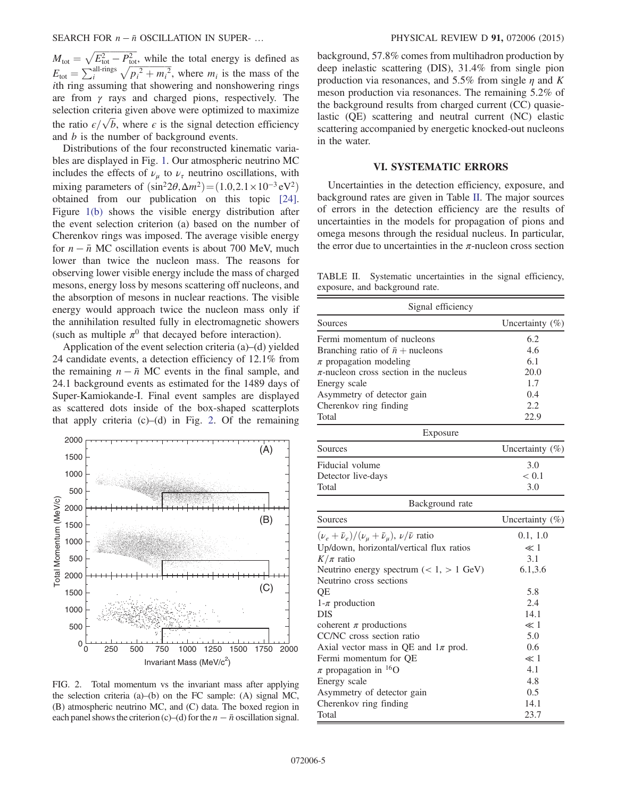$M_{\text{tot}} = \sqrt{E_{\text{tot}}^2 - P_{\text{tot}}^2}$ , while the total energy is defined as  $E_{\text{tot}} = \sum_{i}^{\text{all-rings}} \sqrt{p_i^2 + m_i^2}$ , where  $m_i$  is the mass of the ith ring assuming that showering and nonshowering rings are from  $\gamma$  rays and charged pions, respectively. The selection criteria given above were optimized to maximize the ratio  $\epsilon/\sqrt{b}$ , where  $\epsilon$  is the signal detection efficiency and b is the number of background events.

Distributions of the four reconstructed kinematic variables are displayed in Fig. [1](#page-3-0). Our atmospheric neutrino MC includes the effects of  $\nu_{\mu}$  to  $\nu_{\tau}$  neutrino oscillations, with mixing parameters of  $(\sin^2 2\theta, \Delta m^2) = (1.0, 2.1 \times 10^{-3} \text{ eV}^2)$ obtained from our publication on this topic [\[24\]](#page-7-9). Figure [1\(b\)](#page-3-0) shows the visible energy distribution after the event selection criterion (a) based on the number of Cherenkov rings was imposed. The average visible energy for  $n - \bar{n}$  MC oscillation events is about 700 MeV, much lower than twice the nucleon mass. The reasons for observing lower visible energy include the mass of charged mesons, energy loss by mesons scattering off nucleons, and the absorption of mesons in nuclear reactions. The visible energy would approach twice the nucleon mass only if the annihilation resulted fully in electromagnetic showers (such as multiple  $\pi^0$  that decayed before interaction).

Application of the event selection criteria (a)–(d) yielded 24 candidate events, a detection efficiency of 12.1% from the remaining  $n - \bar{n}$  MC events in the final sample, and 24.1 background events as estimated for the 1489 days of Super-Kamiokande-I. Final event samples are displayed as scattered dots inside of the box-shaped scatterplots that apply criteria  $(c)$ – $(d)$  in Fig. [2.](#page-4-0) Of the remaining

<span id="page-4-0"></span>

FIG. 2. Total momentum vs the invariant mass after applying the selection criteria (a)–(b) on the FC sample: (A) signal MC, (B) atmospheric neutrino MC, and (C) data. The boxed region in each panel shows the criterion (c)–(d) for the  $n - \bar{n}$  oscillation signal.

background, 57.8% comes from multihadron production by deep inelastic scattering (DIS), 31.4% from single pion production via resonances, and 5.5% from single  $\eta$  and K meson production via resonances. The remaining 5.2% of the background results from charged current (CC) quasielastic (QE) scattering and neutral current (NC) elastic scattering accompanied by energetic knocked-out nucleons in the water.

### VI. SYSTEMATIC ERRORS

Uncertainties in the detection efficiency, exposure, and background rates are given in Table [II](#page-4-1). The major sources of errors in the detection efficiency are the results of uncertainties in the models for propagation of pions and omega mesons through the residual nucleus. In particular, the error due to uncertainties in the  $\pi$ -nucleon cross section

<span id="page-4-1"></span>TABLE II. Systematic uncertainties in the signal efficiency, exposure, and background rate.

| Signal efficiency                                                   |                    |  |
|---------------------------------------------------------------------|--------------------|--|
| Sources                                                             | Uncertainty $(\%)$ |  |
| Fermi momentum of nucleons                                          | 6.2                |  |
| Branching ratio of $\bar{n}$ + nucleons                             | 4.6                |  |
| $\pi$ propagation modeling                                          | 6.1                |  |
| $\pi$ -nucleon cross section in the nucleus                         | 20.0               |  |
| Energy scale                                                        | 1.7                |  |
| Asymmetry of detector gain                                          | 0.4                |  |
| Cherenkov ring finding                                              | 2.2                |  |
| Total                                                               | 22.9               |  |
| Exposure                                                            |                    |  |
| Sources                                                             | Uncertainty $(\%)$ |  |
| Fiducial volume                                                     | 3.0                |  |
| Detector live-days                                                  | < 0.1              |  |
| Total                                                               | 3.0                |  |
| Background rate                                                     |                    |  |
| Sources                                                             | Uncertainty (%)    |  |
| $(\nu_e+\bar{\nu}_e)/(\nu_\mu+\bar{\nu}_\mu),\,\nu/\bar{\nu}$ ratio | 0.1, 1.0           |  |
| Up/down, horizontal/vertical flux ratios                            | $\ll 1$            |  |
| $K/\pi$ ratio                                                       | 3.1                |  |
| Neutrino energy spectrum $(< 1, > 1$ GeV)                           | 6.1, 3.6           |  |
| Neutrino cross sections                                             |                    |  |
| QE                                                                  | 5.8                |  |
| $1-\pi$ production                                                  | 2.4                |  |
| <b>DIS</b>                                                          | 14.1               |  |
| coherent $\pi$ productions                                          | $\ll 1$            |  |
| CC/NC cross section ratio                                           | 5.0                |  |
| Axial vector mass in QE and $1\pi$ prod.                            | 0.6                |  |
| Fermi momentum for QE                                               | $\ll 1$            |  |
| $\pi$ propagation in <sup>16</sup> O                                | 4.1                |  |
| Energy scale                                                        | 4.8                |  |
| Asymmetry of detector gain                                          | 0.5                |  |
| Cherenkov ring finding                                              | 14.1               |  |
| Total                                                               | 23.7               |  |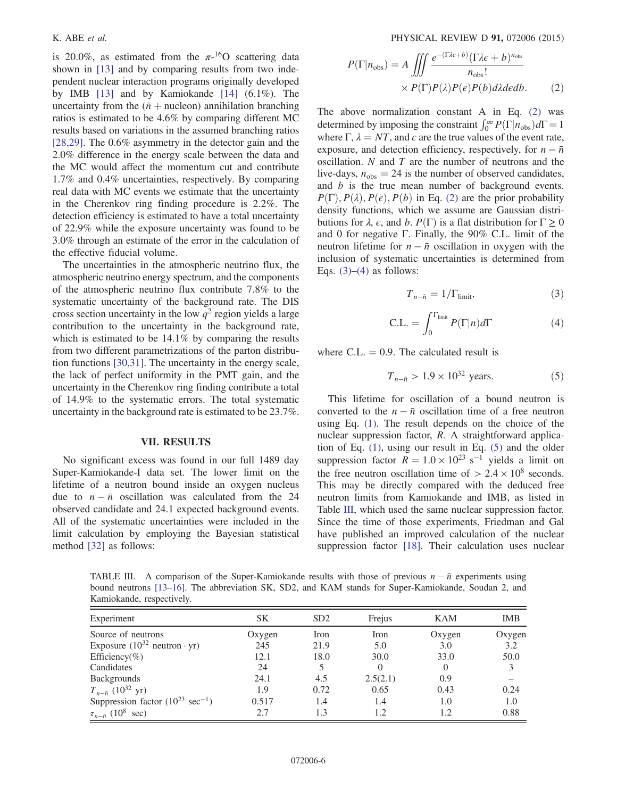is 20.0%, as estimated from the  $\pi$ -<sup>16</sup>O scattering data shown in [\[13\]](#page-7-0) and by comparing results from two independent nuclear interaction programs originally developed by IMB [\[13\]](#page-7-0) and by Kamiokande [\[14\]](#page-7-1) (6.1%). The uncertainty from the  $(\bar{n} +$  nucleon) annihilation branching ratios is estimated to be 4.6% by comparing different MC results based on variations in the assumed branching ratios [\[28,29\]](#page-7-13). The 0.6% asymmetry in the detector gain and the 2.0% difference in the energy scale between the data and the MC would affect the momentum cut and contribute 1.7% and 0.4% uncertainties, respectively. By comparing real data with MC events we estimate that the uncertainty in the Cherenkov ring finding procedure is 2.2%. The detection efficiency is estimated to have a total uncertainty of 22.9% while the exposure uncertainty was found to be 3.0% through an estimate of the error in the calculation of the effective fiducial volume.

The uncertainties in the atmospheric neutrino flux, the atmospheric neutrino energy spectrum, and the components of the atmospheric neutrino flux contribute 7.8% to the systematic uncertainty of the background rate. The DIS cross section uncertainty in the low  $q^2$  region yields a large contribution to the uncertainty in the background rate, which is estimated to be 14.1% by comparing the results from two different parametrizations of the parton distribution functions [\[30,31\].](#page-7-14) The uncertainty in the energy scale, the lack of perfect uniformity in the PMT gain, and the uncertainty in the Cherenkov ring finding contribute a total of 14.9% to the systematic errors. The total systematic uncertainty in the background rate is estimated to be 23.7%.

#### VII. RESULTS

No significant excess was found in our full 1489 day Super-Kamiokande-I data set. The lower limit on the lifetime of a neutron bound inside an oxygen nucleus due to  $n - \bar{n}$  oscillation was calculated from the 24 observed candidate and 24.1 expected background events. All of the systematic uncertainties were included in the limit calculation by employing the Bayesian statistical method [\[32\]](#page-7-15) as follows:

$$
P(\Gamma|n_{\text{obs}}) = A \iiint \frac{e^{-(\Gamma\lambda\epsilon+b)}(\Gamma\lambda\epsilon+b)^{n_{\text{obs}}}}{n_{\text{obs}}!} \times P(\Gamma)P(\lambda)P(\epsilon)P(b)d\lambda d\epsilon db.
$$
 (2)

The above normalization constant A in Eq. [\(2\)](#page-5-0) was determined by imposing the constraint  $\int_0^\infty P(\Gamma | n_{\text{obs}}) d\Gamma = 1$ where  $\Gamma$ ,  $\lambda = NT$ , and  $\epsilon$  are the true values of the event rate, exposure, and detection efficiency, respectively, for  $n - \bar{n}$ oscillation.  $N$  and  $T$  are the number of neutrons and the live-days,  $n_{obs} = 24$  is the number of observed candidates, and *b* is the true mean number of background events.  $P(\Gamma), P(\lambda), P(\epsilon), P(b)$  in Eq. [\(2\)](#page-5-0) are the prior probability density functions, which we assume are Gaussian distributions for  $\lambda$ ,  $\epsilon$ , and  $b$ .  $P(\Gamma)$  is a flat distribution for  $\Gamma \geq 0$ and 0 for negative Γ. Finally, the 90% C.L. limit of the neutron lifetime for  $n - \bar{n}$  oscillation in oxygen with the inclusion of systematic uncertainties is determined from Eqs.  $(3)$ – $(4)$  as follows:

$$
T_{n-\bar{n}} = 1/\Gamma_{\text{limit}},\tag{3}
$$

<span id="page-5-1"></span>
$$
C.L. = \int_0^{\Gamma_{\text{limit}}} P(\Gamma | n) d\Gamma \tag{4}
$$

<span id="page-5-3"></span><span id="page-5-2"></span>where C.L.  $= 0.9$ . The calculated result is

$$
T_{n-\bar{n}} > 1.9 \times 10^{32} \text{ years.}
$$
 (5)

This lifetime for oscillation of a bound neutron is converted to the  $n - \bar{n}$  oscillation time of a free neutron using Eq. [\(1\).](#page-1-3) The result depends on the choice of the nuclear suppression factor, R. A straightforward application of Eq. [\(1\)](#page-1-3), using our result in Eq. [\(5\)](#page-5-3) and the older suppression factor  $\overline{R} = 1.0 \times 10^{23} \text{ s}^{-1}$  yields a limit on the free neutron oscillation time of  $> 2.4 \times 10^8$  seconds. This may be directly compared with the deduced free neutron limits from Kamiokande and IMB, as listed in Table [III](#page-5-4), which used the same nuclear suppression factor. Since the time of those experiments, Friedman and Gal have published an improved calculation of the nuclear suppression factor [\[18\]](#page-7-5). Their calculation uses nuclear

<span id="page-5-4"></span><span id="page-5-0"></span>TABLE III. A comparison of the Super-Kamiokande results with those of previous  $n - \bar{n}$  experiments using bound neutrons [13–[16\]](#page-7-0). The abbreviation SK, SD2, and KAM stands for Super-Kamiokande, Soudan 2, and Kamiokande, respectively.

| Experiment                                      | <b>SK</b> | SD2  | Frejus   | KAM    | <b>IMB</b> |
|-------------------------------------------------|-----------|------|----------|--------|------------|
| Source of neutrons                              | Oxygen    | Iron | Iron     | Oxygen | Oxygen     |
| Exposure $(10^{32}$ neutron $\cdot$ yr)         | 245       | 21.9 | 5.0      | 3.0    | 3.2        |
| Efficiency(%)                                   | 12.1      | 18.0 | 30.0     | 33.0   | 50.0       |
| Candidates                                      | 24        |      | $\theta$ |        | 3          |
| Backgrounds                                     | 24.1      | 4.5  | 2.5(2.1) | 0.9    |            |
| $T_{n-\bar{n}}$ (10 <sup>32</sup> yr)           | 1.9       | 0.72 | 0.65     | 0.43   | 0.24       |
| Suppression factor $(10^{23} \text{ sec}^{-1})$ | 0.517     | 1.4  | 1.4      | 1.0    | 1.0        |
| $\tau_{n-\bar{n}}$ (10 <sup>8</sup> )<br>sec)   | 2.7       | 1.3  | 1.2      |        | 0.88       |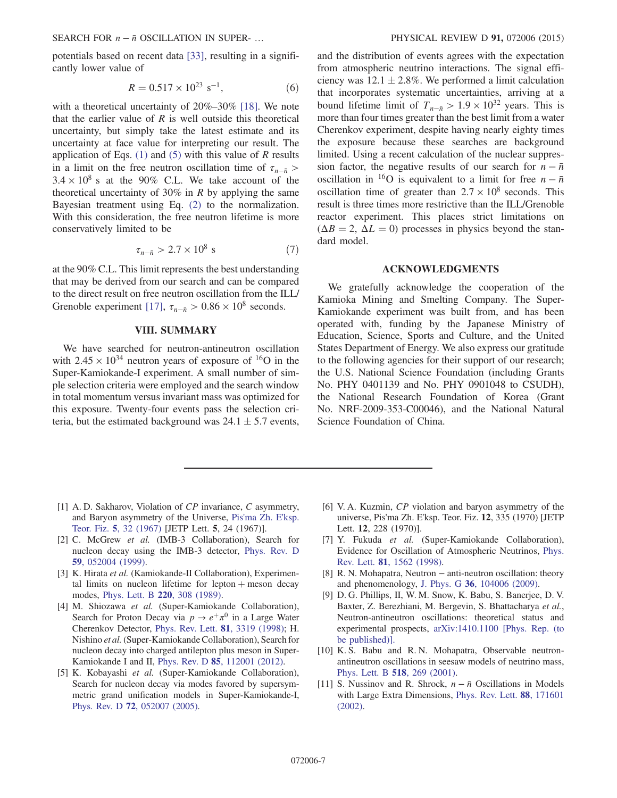SEARCH FOR  $n - \bar{n}$  OSCILLATION IN SUPER- … PHYSICAL REVIEW D 91, 072006 (2015)

potentials based on recent data [\[33\],](#page-7-16) resulting in a significantly lower value of

$$
R = 0.517 \times 10^{23} \, \text{s}^{-1},\tag{6}
$$

with a theoretical uncertainty of  $20\%-30\%$  [\[18\].](#page-7-5) We note that the earlier value of  $R$  is well outside this theoretical uncertainty, but simply take the latest estimate and its uncertainty at face value for interpreting our result. The application of Eqs. [\(1\)](#page-1-3) and [\(5\)](#page-5-3) with this value of  $R$  results in a limit on the free neutron oscillation time of  $\tau_{n-\bar{n}} >$  $3.4 \times 10^8$  s at the 90% C.L. We take account of the theoretical uncertainty of 30% in  $R$  by applying the same Bayesian treatment using Eq. [\(2\)](#page-5-0) to the normalization. With this consideration, the free neutron lifetime is more conservatively limited to be

$$
\tau_{n-\bar{n}} > 2.7 \times 10^8 \text{ s} \tag{7}
$$

at the 90% C.L. This limit represents the best understanding that may be derived from our search and can be compared to the direct result on free neutron oscillation from the ILL/ Grenoble experiment [\[17\],](#page-7-4)  $\tau_{n-\bar{n}} > 0.86 \times 10^8$  seconds.

## VIII. SUMMARY

We have searched for neutron-antineutron oscillation with  $2.45 \times 10^{34}$  neutron years of exposure of <sup>16</sup>O in the Super-Kamiokande-I experiment. A small number of simple selection criteria were employed and the search window in total momentum versus invariant mass was optimized for this exposure. Twenty-four events pass the selection criteria, but the estimated background was  $24.1 \pm 5.7$  events, and the distribution of events agrees with the expectation from atmospheric neutrino interactions. The signal efficiency was  $12.1 \pm 2.8\%$ . We performed a limit calculation that incorporates systematic uncertainties, arriving at a bound lifetime limit of  $T_{n-\bar{n}} > 1.9 \times 10^{32}$  years. This is more than four times greater than the best limit from a water Cherenkov experiment, despite having nearly eighty times the exposure because these searches are background limited. Using a recent calculation of the nuclear suppression factor, the negative results of our search for  $n - \bar{n}$ oscillation in <sup>16</sup>O is equivalent to a limit for free  $n - \bar{n}$ oscillation time of greater than  $2.7 \times 10^8$  seconds. This result is three times more restrictive than the ILL/Grenoble reactor experiment. This places strict limitations on  $(\Delta B = 2, \Delta L = 0)$  processes in physics beyond the standard model.

### ACKNOWLEDGMENTS

We gratefully acknowledge the cooperation of the Kamioka Mining and Smelting Company. The Super-Kamiokande experiment was built from, and has been operated with, funding by the Japanese Ministry of Education, Science, Sports and Culture, and the United States Department of Energy. We also express our gratitude to the following agencies for their support of our research; the U.S. National Science Foundation (including Grants No. PHY 0401139 and No. PHY 0901048 to CSUDH), the National Research Foundation of Korea (Grant No. NRF-2009-353-C00046), and the National Natural Science Foundation of China.

- <span id="page-6-0"></span>[1] A. D. Sakharov, Violation of CP invariance, C asymmetry, and Baryon asymmetry of the Universe, [Pis'ma Zh. E'ksp.](http://dx.doi.org/10.1070/PU1991v034n05ABEH002497) Teor. Fiz. 5[, 32 \(1967\)](http://dx.doi.org/10.1070/PU1991v034n05ABEH002497) [JETP Lett. 5, 24 (1967)].
- <span id="page-6-1"></span>[2] C. McGrew et al. (IMB-3 Collaboration), Search for nucleon decay using the IMB-3 detector, [Phys. Rev. D](http://dx.doi.org/10.1103/PhysRevD.59.052004) 59[, 052004 \(1999\).](http://dx.doi.org/10.1103/PhysRevD.59.052004)
- [3] K. Hirata et al. (Kamiokande-II Collaboration), Experimental limits on nucleon lifetime for lepton  $+$  meson decay modes, [Phys. Lett. B](http://dx.doi.org/10.1016/0370-2693(89)90058-0) 220, 308 (1989).
- [4] M. Shiozawa et al. (Super-Kamiokande Collaboration), Search for Proton Decay via  $p \to e^+ \pi^0$  in a Large Water Cherenkov Detector, [Phys. Rev. Lett.](http://dx.doi.org/10.1103/PhysRevLett.81.3319) 81, 3319 (1998); H. Nishino et al.(Super-Kamiokande Collaboration), Search for nucleon decay into charged antilepton plus meson in Super-Kamiokande I and II, Phys. Rev. D 85[, 112001 \(2012\).](http://dx.doi.org/10.1103/PhysRevD.85.112001)
- <span id="page-6-2"></span>[5] K. Kobayashi et al. (Super-Kamiokande Collaboration), Search for nucleon decay via modes favored by supersymmetric grand unification models in Super-Kamiokande-I, Phys. Rev. D 72[, 052007 \(2005\)](http://dx.doi.org/10.1103/PhysRevD.72.052007).
- <span id="page-6-3"></span>[6] V. A. Kuzmin, CP violation and baryon asymmetry of the universe, Pis'ma Zh. E'ksp. Teor. Fiz. 12, 335 (1970) [JETP Lett. 12, 228 (1970)].
- <span id="page-6-4"></span>[7] Y. Fukuda et al. (Super-Kamiokande Collaboration), Evidence for Oscillation of Atmospheric Neutrinos, [Phys.](http://dx.doi.org/10.1103/PhysRevLett.81.1562) Rev. Lett. 81[, 1562 \(1998\)](http://dx.doi.org/10.1103/PhysRevLett.81.1562).
- <span id="page-6-5"></span>[8] R. N. Mohapatra, Neutron – anti-neutron oscillation: theory and phenomenology, J. Phys. G 36[, 104006 \(2009\).](http://dx.doi.org/10.1088/0954-3899/36/10/104006)
- [9] D. G. Phillips, II, W. M. Snow, K. Babu, S. Banerjee, D. V. Baxter, Z. Berezhiani, M. Bergevin, S. Bhattacharya et al., Neutron-antineutron oscillations: theoretical status and experimental prospects, [arXiv:1410.1100 \[Phys. Rep. \(to](http://arXiv.org/abs/1410.1100) [be published\)\].](http://arXiv.org/abs/1410.1100)
- <span id="page-6-6"></span>[10] K. S. Babu and R. N. Mohapatra, Observable neutronantineutron oscillations in seesaw models of neutrino mass, [Phys. Lett. B](http://dx.doi.org/10.1016/S0370-2693(01)01077-2) 518, 269 (2001).
- <span id="page-6-7"></span>[11] S. Nussinov and R. Shrock,  $n - \bar{n}$  Oscillations in Models with Large Extra Dimensions, [Phys. Rev. Lett.](http://dx.doi.org/10.1103/PhysRevLett.88.171601) 88, 171601 [\(2002\).](http://dx.doi.org/10.1103/PhysRevLett.88.171601)